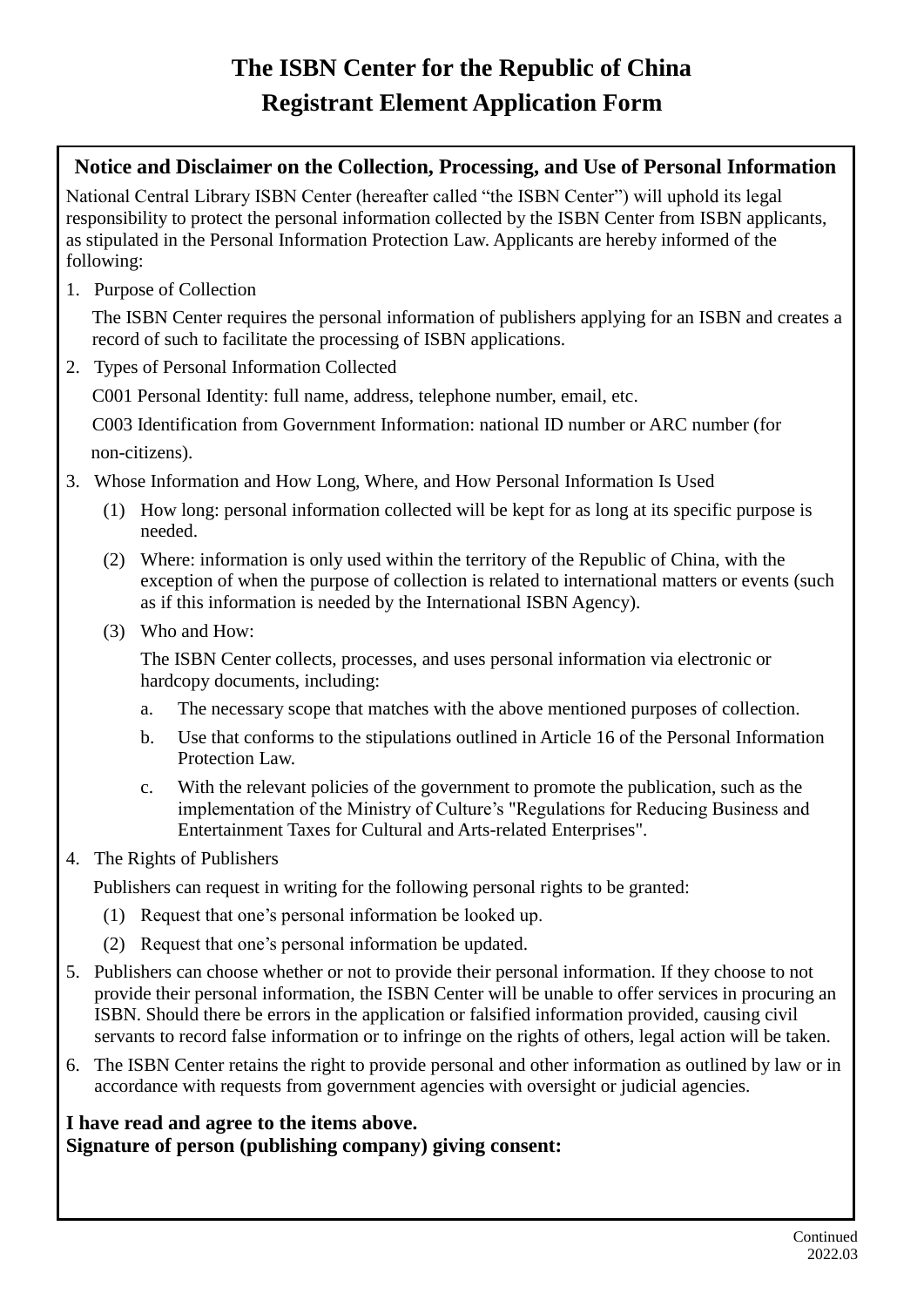## **The ISBN Center for the Republic of China Registrant Element Application Form**

## **Notice and Disclaimer on the Collection, Processing, and Use of Personal Information**

National Central Library ISBN Center (hereafter called "the ISBN Center") will uphold its legal responsibility to protect the personal information collected by the ISBN Center from ISBN applicants, as stipulated in the Personal Information Protection Law. Applicants are hereby informed of the following:

1. Purpose of Collection

The ISBN Center requires the personal information of publishers applying for an ISBN and creates a record of such to facilitate the processing of ISBN applications.

2. Types of Personal Information Collected

C001 Personal Identity: full name, address, telephone number, email, etc.

C003 Identification from Government Information: national ID number or ARC number (for non-citizens).

3. Whose Information and How Long, Where, and How Personal Information Is Used

- (1) How long: personal information collected will be kept for as long at its specific purpose is needed.
- (2) Where: information is only used within the territory of the Republic of China, with the exception of when the purpose of collection is related to international matters or events (such as if this information is needed by the International ISBN Agency).
- (3) Who and How:

The ISBN Center collects, processes, and uses personal information via electronic or hardcopy documents, including:

- a. The necessary scope that matches with the above mentioned purposes of collection.
- b. Use that conforms to the stipulations outlined in Article 16 of the Personal Information Protection Law.
- c. With the relevant policies of the government to promote the publication, such as the implementation of the Ministry of Culture's "Regulations for Reducing Business and Entertainment Taxes for Cultural and Arts-related Enterprises".
- 4. The Rights of Publishers

Publishers can request in writing for the following personal rights to be granted:

- (1) Request that one's personal information be looked up.
- (2) Request that one's personal information be updated.
- 5. Publishers can choose whether or not to provide their personal information. If they choose to not provide their personal information, the ISBN Center will be unable to offer services in procuring an ISBN. Should there be errors in the application or falsified information provided, causing civil servants to record false information or to infringe on the rights of others, legal action will be taken.
- 6. The ISBN Center retains the right to provide personal and other information as outlined by law or in accordance with requests from government agencies with oversight or judicial agencies.

## **I have read and agree to the items above. Signature of person (publishing company) giving consent:**